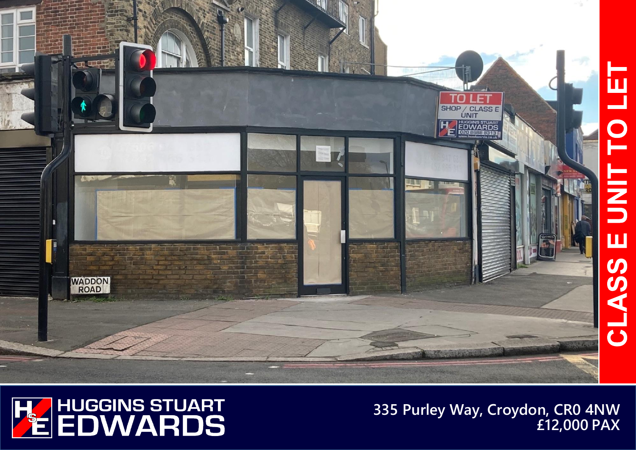

**335 Purley Way, Croydon, CR0 4NW £12,000 PAX**

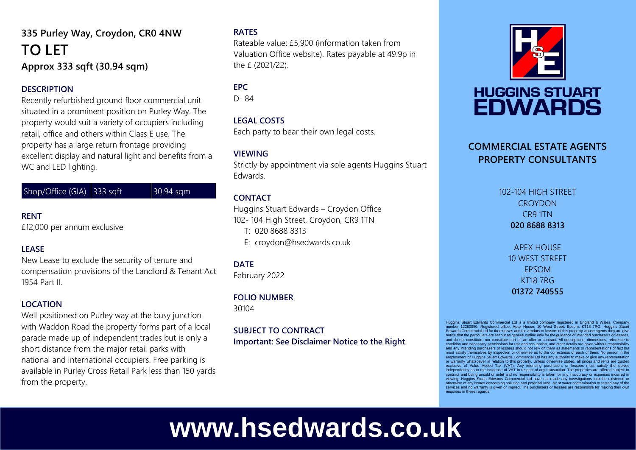### **335 Purley Way, Croydon, CR0 4NW TO LET Approx 333 sqft (30.94 sqm)**

#### **DESCRIPTION**

Recently refurbished ground floor commercial unit situated in a prominent position on Purley Way. The property would suit a variety of occupiers including retail, office and others within Class E use. The property has a large return frontage providing excellent display and natural light and benefits from a WC and LED lighting.

Shop/Office (GIA)  $|333 \text{ soft}|$   $|30.94 \text{ sam}|$ 

#### **RENT**

£12,000 per annum exclusive

#### **LEASE**

New Lease to exclude the security of tenure and compensation provisions of the Landlord & Tenant Act 1954 Part II.

#### **LOCATION**

Well positioned on Purley way at the busy junction with Waddon Road the property forms part of a local parade made up of independent trades but is only a short distance from the major retail parks with national and international occupiers. Free parking is available in Purley Cross Retail Park less than 150 yards from the property.

#### **RATES**

Rateable value: £5,900 (information taken from Valuation Office website). Rates payable at 49.9p in the £ (2021/22).

#### **EPC**

D- 84

#### **LEGAL COSTS**

Each party to bear their own legal costs.

#### **VIEWING**

Strictly by appointment via sole agents Huggins Stuart Edwards.

#### **CONTACT**

Huggins Stuart Edwards – Croydon Office 102- 104 High Street, Croydon, CR9 1TN T: 020 8688 8313 E: croydon@hsedwards.co.uk

#### **DATE**

February 2022

#### **FOLIO NUMBER**

30104

#### **SUBJECT TO CONTRACT Important: See Disclaimer Notice to the Right**.



## **HUGGINS STUART EDWARDS**

#### **COMMERCIAL ESTATE AGENTS PROPERTY CONSULTANTS**

102-104 HIGH STREET **CROYDON** CR9 1TN **020 8688 8313**

> APEX HOUSE 10 WEST STREET EPSOM KT18 7RG **01372 740555**

Huggins Stuart Edwards Commercial Ltd is a limited company registered in England & Wales. Compa number 12280950. Registered office: Apex House, 10 West Street, Epsom, KT18 7RG. Huggins Stuart Edwards Commercial Ltd for themselves and for vendors or lessors of this property whose agents they are give notice that the particulars are set out as general outline only for the guidance of intended purchasers or lessees, and do not constitute, nor constitute part of, an offer or contract. All descriptions, dimensions, reference to condition and necessary permissions for use and occupation, and other details are given without responsibility and any intending purchasers or lessees should not rely on them as statements or representations of fact but must satisfy themselves by inspection or otherwise as to the correctness of each of them. No person in the employment of Huggins Stuart Edwards Commercial Ltd has any authority to make or give any representation or warranty whatsoever in relation to this property. Unless otherwise stated, all prices and rents are quoted exclusive of Value Added Tax (VAT). Any intending purchasers or lessees must satisfy themselves independently as to the incidence of VAT in respect of any transaction. The properties are offered subject to<br>contract and being unsold or unlet and no responsibility is taken for any inaccuracy or expenses incurred in<br>vie otherwise of any issues concerning pollution and potential land, air or water contamination or tested any of the services and no warranty is given or implied. The purchasers or lessees are responsible for making their own enquiries in these regards

# **www.hsedwards.co.uk**